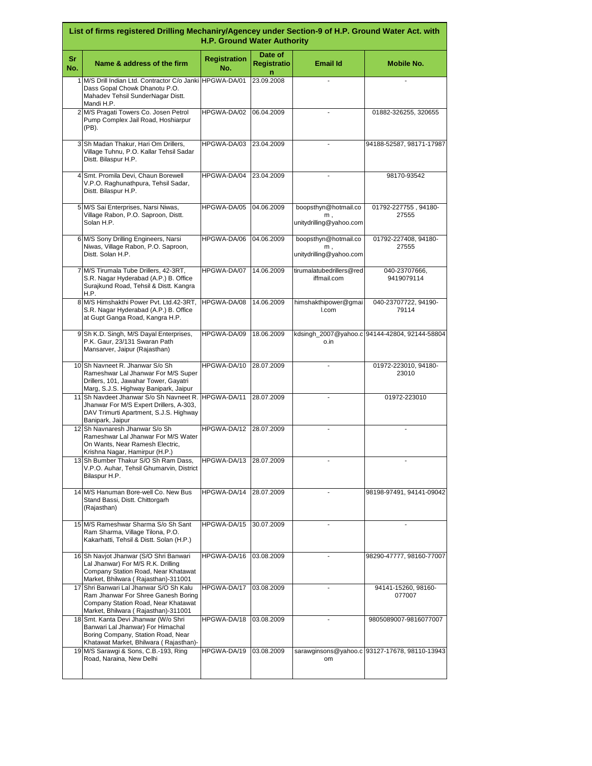| List of firms registered Drilling Mechaniry/Agencey under Section-9 of H.P. Ground Water Act. with<br><b>H.P. Ground Water Authority</b> |                                                                                                                                                              |                            |                                    |                                                          |                                               |  |
|------------------------------------------------------------------------------------------------------------------------------------------|--------------------------------------------------------------------------------------------------------------------------------------------------------------|----------------------------|------------------------------------|----------------------------------------------------------|-----------------------------------------------|--|
| Sr<br>No.                                                                                                                                | Name & address of the firm                                                                                                                                   | <b>Registration</b><br>No. | Date of<br><b>Registratio</b><br>n | <b>Email Id</b>                                          | <b>Mobile No.</b>                             |  |
|                                                                                                                                          | 1 M/S Drill Indian Ltd. Contractor C/o Janki HPGWA-DA/01<br>Dass Gopal Chowk Dhanotu P.O.<br>Mahadev Tehsil SunderNagar Distt.<br>Mandi H.P.                 |                            | 23.09.2008                         |                                                          |                                               |  |
|                                                                                                                                          | 2 M/S Pragati Towers Co. Josen Petrol<br>Pump Complex Jail Road, Hoshiarpur<br>(PB).                                                                         | HPGWA-DA/02                | 06.04.2009                         |                                                          | 01882-326255, 320655                          |  |
|                                                                                                                                          | 3 Sh Madan Thakur, Hari Om Drillers,<br>Village Tuhnu, P.O. Kallar Tehsil Sadar<br>Distt. Bilaspur H.P.                                                      | HPGWA-DA/03                | 23.04.2009                         |                                                          | 94188-52587, 98171-17987                      |  |
|                                                                                                                                          | 4 Smt. Promila Devi, Chaun Borewell<br>V.P.O. Raghunathpura, Tehsil Sadar,<br>Distt. Bilaspur H.P.                                                           | HPGWA-DA/04                | 23.04.2009                         |                                                          | 98170-93542                                   |  |
|                                                                                                                                          | 5 M/S Sai Enterprises, Narsi Niwas,<br>Village Rabon, P.O. Saproon, Distt.<br>Solan H.P.                                                                     | HPGWA-DA/05                | 04.06.2009                         | boopsthyn@hotmail.co<br>$m$ .<br>unitydrilling@yahoo.com | 01792-227755, 94180-<br>27555                 |  |
|                                                                                                                                          | 6 M/S Sony Drilling Engineers, Narsi<br>Niwas, Village Rabon, P.O. Saproon,<br>Distt. Solan H.P.                                                             | HPGWA-DA/06                | 04.06.2009                         | boopsthyn@hotmail.co<br>m.<br>unitydrilling@yahoo.com    | 01792-227408, 94180-<br>27555                 |  |
|                                                                                                                                          | 7 M/S Tirumala Tube Drillers, 42-3RT,<br>S.R. Nagar Hyderabad (A.P.) B. Office<br>Surajkund Road, Tehsil & Distt. Kangra<br>H.P.                             | HPGWA-DA/07                | 14.06.2009                         | tirumalatubedrillers@red<br>iffmail.com                  | 040-23707666,<br>9419079114                   |  |
|                                                                                                                                          | 8 M/S Himshakthi Power Pvt. Ltd.42-3RT,<br>S.R. Nagar Hyderabad (A.P.) B. Office<br>at Gupt Ganga Road, Kangra H.P.                                          | HPGWA-DA/08                | 14.06.2009                         | himshakthipower@gmai<br>I.com                            | 040-23707722, 94190-<br>79114                 |  |
|                                                                                                                                          | 9 Sh K.D. Singh, M/S Dayal Enterprises,<br>P.K. Gaur, 23/131 Swaran Path<br>Mansarver, Jaipur (Rajasthan)                                                    | HPGWA-DA/09                | 18.06.2009                         | o.in                                                     | kdsingh_2007@yahoo.c 94144-42804, 92144-58804 |  |
|                                                                                                                                          | 10 Sh Navneet R. Jhanwar S/o Sh<br>Rameshwar Lal Jhanwar For M/S Super<br>Drillers, 101, Jawahar Tower, Gayatri<br>Marg, S.J.S. Highway Banipark, Jaipur     | HPGWA-DA/10                | 28.07.2009                         |                                                          | 01972-223010, 94180-<br>23010                 |  |
|                                                                                                                                          | 11 Sh Navdeet Jhanwar S/o Sh Navneet R.<br>Jhanwar For M/S Expert Drillers, A-303,<br>DAV Trimurti Apartment, S.J.S. Highway<br>Banipark, Jaipur             | HPGWA-DA/11                | 28.07.2009                         |                                                          | 01972-223010                                  |  |
|                                                                                                                                          | 12 Sh Navnaresh Jhanwar S/o Sh<br>Rameshwar Lal Jhanwar For M/S Water<br>On Wants, Near Ramesh Electric,<br>Krishna Nagar, Hamirpur (H.P.)                   | HPGWA-DA/12                | 28.07.2009                         |                                                          |                                               |  |
|                                                                                                                                          | 13 Sh Bumber Thakur S/O Sh Ram Dass,<br>V.P.O. Auhar, Tehsil Ghumarvin, District<br>Bilaspur H.P.                                                            | HPGWA-DA/13                | 28.07.2009                         |                                                          |                                               |  |
|                                                                                                                                          | 14 M/S Hanuman Bore-well Co. New Bus<br>Stand Bassi, Distt. Chittorgarh<br>(Rajasthan)                                                                       | HPGWA-DA/14                | 28.07.2009                         |                                                          | 98198-97491, 94141-09042                      |  |
|                                                                                                                                          | 15 M/S Rameshwar Sharma S/o Sh Sant<br>Ram Sharma, Village Tilona, P.O.<br>Kakarhatti, Tehsil & Distt. Solan (H.P.)                                          | HPGWA-DA/15                | 30.07.2009                         |                                                          |                                               |  |
|                                                                                                                                          | 16 Sh Navjot Jhanwar (S/O Shri Banwari<br>Lal Jhanwar) For M/S R.K. Drilling<br>Company Station Road, Near Khatawat<br>Market, Bhilwara (Rajasthan)-311001   | HPGWA-DA/16                | 03.08.2009                         |                                                          | 98290-47777, 98160-77007                      |  |
|                                                                                                                                          | 17 Shri Banwari Lal Jhanwar S/O Sh Kalu<br>Ram Jhanwar For Shree Ganesh Boring<br>Company Station Road, Near Khatawat<br>Market, Bhilwara (Rajasthan)-311001 | HPGWA-DA/17                | 03.08.2009                         |                                                          | 94141-15260, 98160-<br>077007                 |  |
|                                                                                                                                          | 18 Smt. Kanta Devi Jhanwar (W/o Shri<br>Banwari Lal Jhanwar) For Himachal<br>Boring Company, Station Road, Near<br>Khatawat Market, Bhilwara (Rajasthan)-    | HPGWA-DA/18                | 03.08.2009                         |                                                          | 9805089007-9816077007                         |  |
|                                                                                                                                          | 19 M/S Sarawgi & Sons, C.B.-193, Ring<br>Road, Naraina, New Delhi                                                                                            | HPGWA-DA/19                | 03.08.2009                         | om                                                       | sarawginsons@yahoo.c 93127-17678, 98110-13943 |  |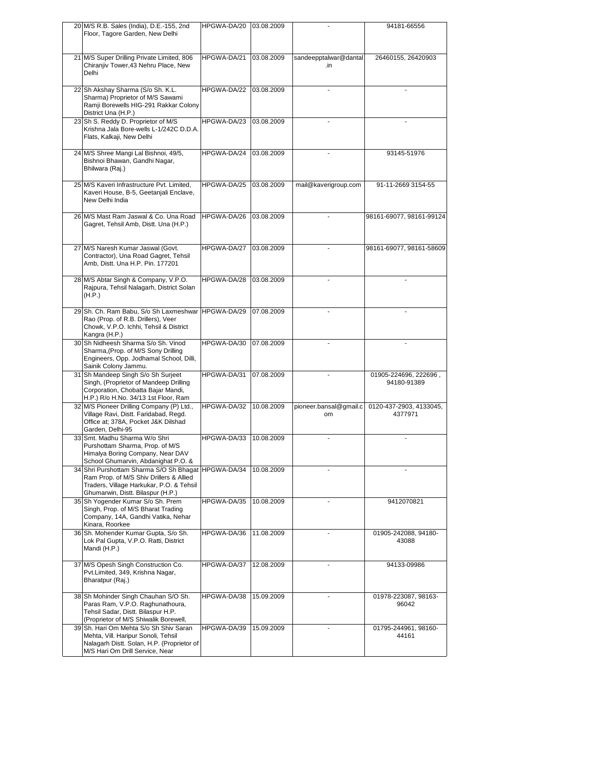| 20 M/S R.B. Sales (India), D.E.-155, 2nd                                                                                                                                        | HPGWA-DA/20 | 03.08.2009 |                              | 94181-66556                          |
|---------------------------------------------------------------------------------------------------------------------------------------------------------------------------------|-------------|------------|------------------------------|--------------------------------------|
| Floor, Tagore Garden, New Delhi                                                                                                                                                 |             |            |                              |                                      |
| 21 M/S Super Drilling Private Limited, 806<br>Chiranjiv Tower, 43 Nehru Place, New<br>Delhi                                                                                     | HPGWA-DA/21 | 03.08.2009 | sandeepptalwar@dantal<br>.in | 26460155, 26420903                   |
| 22 Sh Akshay Sharma (S/o Sh. K.L.<br>Sharma) Proprietor of M/S Sawami<br>Ramji Borewells HIG-291 Rakkar Colony<br>District Una (H.P.)                                           | HPGWA-DA/22 | 03.08.2009 |                              |                                      |
| 23 Sh S. Reddy D. Proprietor of M/S<br>Krishna Jala Bore-wells L-1/242C D.D.A.<br>Flats, Kalkaji, New Delhi                                                                     | HPGWA-DA/23 | 03.08.2009 |                              |                                      |
| 24 M/S Shree Mangi Lal Bishnoi, 49/5,<br>Bishnoi Bhawan, Gandhi Nagar,<br>Bhilwara (Raj.)                                                                                       | HPGWA-DA/24 | 03.08.2009 |                              | 93145-51976                          |
| 25 M/S Kaveri Infrastructure Pvt. Limited,<br>Kaveri House, B-5, Geetanjali Enclave,<br>New Delhi India                                                                         | HPGWA-DA/25 | 03.08.2009 | mail@kaverigroup.com         | 91-11-2669 3154-55                   |
| 26 M/S Mast Ram Jaswal & Co. Una Road<br>Gagret, Tehsil Amb, Distt. Una (H.P.)                                                                                                  | HPGWA-DA/26 | 03.08.2009 |                              | 98161-69077, 98161-99124             |
| 27 M/S Naresh Kumar Jaswal (Govt.<br>Contractor), Una Road Gagret, Tehsil<br>Amb, Distt. Una H.P. Pin. 177201                                                                   | HPGWA-DA/27 | 03.08.2009 |                              | 98161-69077, 98161-58609             |
| 28 M/S Abtar Singh & Company, V.P.O.<br>Rajpura, Tehsil Nalagarh, District Solan<br>(H.P.)                                                                                      | HPGWA-DA/28 | 03.08.2009 |                              |                                      |
| 29 Sh. Ch. Ram Babu, S/o Sh Laxmeshwar<br>Rao (Prop. of R.B. Drillers), Veer<br>Chowk, V.P.O. Ichhi, Tehsil & District<br>Kangra (H.P.)                                         | HPGWA-DA/29 | 07.08.2009 |                              |                                      |
| 30 Sh Nidheesh Sharma S/o Sh. Vinod<br>Sharma, (Prop. of M/S Sony Drilling<br>Engineers, Opp. Jodhamal School, Dilli,<br>Sainik Colony Jammu.                                   | HPGWA-DA/30 | 07.08.2009 |                              |                                      |
| 31 Sh Mandeep Singh S/o Sh Surjeet<br>Singh, (Proprietor of Mandeep Drilling<br>Corporation, Chobatta Bajar Mandi,<br>H.P.) R/o H.No. 34/13 1st Floor, Ram                      | HPGWA-DA/31 | 07.08.2009 |                              | 01905-224696, 222696,<br>94180-91389 |
| 32 M/S Pioneer Drilling Company (P) Ltd.,<br>Village Ravi, Distt. Faridabad, Regd.<br>Office at; 378A, Pocket J&K Dilshad<br>Garden, Delhi-95                                   | HPGWA-DA/32 | 10.08.2009 | pioneer.bansal@gmail.c<br>om | 0120-437-2903, 4133045,<br>4377971   |
| 33 Smt. Madhu Sharma W/o Shri<br>Purshottam Sharma, Prop. of M/S<br>Himalya Boring Company, Near DAV<br>School Ghumarvin, Abdanighat P.O. &                                     | HPGWA-DA/33 | 10.08.2009 |                              |                                      |
| 34 Shri Purshottam Sharma S/O Sh Bhagat HPGWA-DA/34<br>Ram Prop. of M/S Shiv Drillers & Allied<br>Traders, Village Harkukar, P.O. & Tehsil<br>Ghumarwin, Distt. Bilaspur (H.P.) |             | 10.08.2009 |                              |                                      |
| 35 Sh Yogender Kumar S/o Sh. Prem<br>Singh, Prop. of M/S Bharat Trading<br>Company, 14A, Gandhi Vatika, Nehar<br>Kinara, Roorkee                                                | HPGWA-DA/35 | 10.08.2009 |                              | 9412070821                           |
| 36 Sh. Mohender Kumar Gupta, S/o Sh.<br>Lok Pal Gupta, V.P.O. Ratti, District<br>Mandi (H.P.)                                                                                   | HPGWA-DA/36 | 11.08.2009 |                              | 01905-242088, 94180-<br>43088        |
| 37 M/S Opesh Singh Construction Co.<br>Pvt.Limited, 349, Krishna Nagar,<br>Bharatpur (Raj.)                                                                                     | HPGWA-DA/37 | 12.08.2009 |                              | 94133-09986                          |
| 38 Sh Mohinder Singh Chauhan S/O Sh.<br>Paras Ram, V.P.O. Raghunathoura,<br>Tehsil Sadar, Distt. Bilaspur H.P.<br>(Proprietor of M/S Shiwalik Borewell,                         | HPGWA-DA/38 | 15.09.2009 |                              | 01978-223087, 98163-<br>96042        |
| 39 Sh. Hari Om Mehta S/o Sh Shiv Saran<br>Mehta, Vill. Haripur Sonoli, Tehsil<br>Nalagarh Distt. Solan, H.P. (Proprietor of<br>M/S Hari Om Drill Service, Near                  | HPGWA-DA/39 | 15.09.2009 |                              | 01795-244961, 98160-<br>44161        |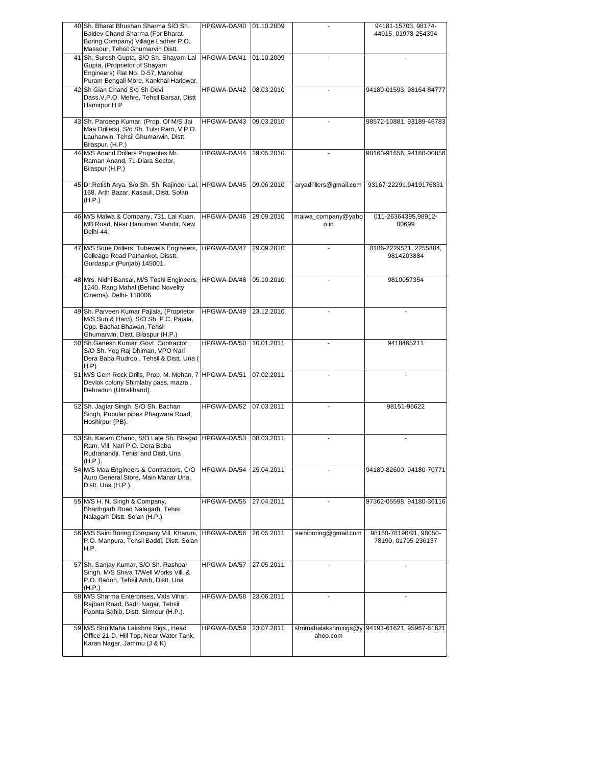|    | 40 Sh. Bharat Bhushan Sharma S/O Sh.<br>Baldev Chand Sharma (For Bharat<br>Boring Company) Village Ladher P.O.                                        | HPGWA-DA/40 | 01.10.2009 |                            | 94181-15703, 98174-<br>44015, 01978-254394     |
|----|-------------------------------------------------------------------------------------------------------------------------------------------------------|-------------|------------|----------------------------|------------------------------------------------|
|    | Massour, Tehsil Ghumarvin Distt.                                                                                                                      |             |            |                            |                                                |
| 41 | Sh. Suresh Gupta, S/O Sh. Shayam Lal<br>Gupta, (Proprietor of Shayam<br>Engineers) Flat No. D-57, Manohar<br>Puram Bengali More, Kankhal-Haridwar,    | HPGWA-DA/41 | 01.10.2009 |                            |                                                |
|    | 42 Sh Gian Chand S/o Sh Devi<br>Dass, V.P.O. Mehre, Tehsil Barsar, Distt<br>Hamirpur H.P                                                              | HPGWA-DA/42 | 08.03.2010 |                            | 94180-01593, 98164-84777                       |
|    | 43 Sh. Pardeep Kumar, (Prop. Of M/S Jai<br>Maa Drillers), S/o Sh. Tulsi Ram, V.P.O.<br>Lauharwin, Tehsil Ghumarwin, Distt.<br>Bilaspur. (H.P.)        | HPGWA-DA/43 | 09.03.2010 |                            | 98572-10881, 93189-46783                       |
|    | 44 M/S Anand Drillers Properites Mr.<br>Raman Anand, 71-Diara Sector,<br>Bilaspur (H.P.)                                                              | HPGWA-DA/44 | 29.05.2010 |                            | 98160-91656, 94180-00856                       |
|    | 45 Dr.Retish Arya, S/o Sh. Sh. Rajinder Lal, HPGWA-DA/45<br>168, Arth Bazar, Kasauli, Distt. Solan<br>(H.P.)                                          |             | 09.06.2010 | aryadrillers@gmail.com     | 93167-22291,9419176831                         |
|    | 46 M/S Malwa & Company, 731, Lal Kuan,<br>MB Road, Near Hanuman Mandir, New<br>Delhi-44.                                                              | HPGWA-DA/46 | 29.09.2010 | malwa_company@yaho<br>o.in | 011-26364395,98912-<br>00699                   |
|    | 47 M/S Sone Drillers, Tubewells Engineers,<br>Colleage Road Pathankot, Disstt.<br>Gurdaspur (Punjab) 145001.                                          | HPGWA-DA/47 | 29.09.2010 |                            | 0186-2229521, 2255884,<br>9814203884           |
|    | 48 Mrs. Nidhi Bansal, M/S Toshi Engineers, HPGWA-DA/48<br>1240, Rang Mahal (Behind Novelity<br>Cinema), Delhi- 110006                                 |             | 05.10.2010 |                            | 9810057354                                     |
|    | 49 Sh. Parveen Kumar Pajiala, (Proprietor<br>M/S Sun & Hard), S/O Sh. P.C. Pajala,<br>Opp. Bachat Bhawan, Tehsil<br>Ghumarwin, Distt. Bilaspur (H.P.) | HPGWA-DA/49 | 23.12.2010 |                            |                                                |
|    | 50 Sh.Ganesh Kumar .Govt. Contractor,                                                                                                                 | HPGWA-DA/50 | 10.01.2011 |                            | 9418465211                                     |
|    | S/O Sh. Yog Raj Dhiman, VPO Nari<br>Dera Baba Rudroo, Tehsil & Distt. Una (<br>H.P)                                                                   |             |            |                            |                                                |
|    | 51 M/S Gem Rock Drills, Prop. M. Mohan, 7 HPGWA-DA/51<br>Devlok colony Shimlaby pass, mazra,<br>Dehradun (Uttrakhand).                                |             | 07.02.2011 |                            |                                                |
|    | 52 Sh. Jagtar Singh, S/O Sh. Bachan<br>Singh, Popular pipes Phagwara Road,<br>Hoshirpur (PB).                                                         | HPGWA-DA/52 | 07.03.2011 |                            | 98151-96622                                    |
|    | 53 Sh. Karam Chand, S/O Late Sh. Bhagat HPGWA-DA/53<br>Ram, Vill. Nari P.O. Dera Baba<br>Rudranandji, Tehisl and Distt. Una<br>(H.P.).                |             | 08.03.2011 |                            |                                                |
|    | 54 M/S Maa Engineers & Contractors, C/O<br>Auro General Store, Main Manar Una,<br>Distt. Una (H.P.).                                                  | HPGWA-DA/54 | 25.04.2011 |                            | 94180-82600, 94180-70771                       |
|    | 55 M/S H. N. Singh & Company,<br>Bharthgarh Road Nalagarh, Tehisl<br>Nalagarh Distt. Solan (H.P.).                                                    | HPGWA-DA/55 | 27.04.2011 |                            | 97362-05598, 94180-36116                       |
|    | 56 M/S Saini Boring Company Vill. Kharuni,<br>P.O. Manpura, Tehsil Baddi, Distt. Solan<br>H.P.                                                        | HPGWA-DA/56 | 26.05.2011 | sainiboring@gmail.com      | 98160-78190/91, 98050-<br>78190, 01795-236137  |
|    | 57 Sh. Sanjay Kumar, S/O Sh. Rashpal<br>Singh, M/S Shiva T/Well Works Vill. &<br>P.O. Badoh, Tehsil Amb, Distt. Una                                   | HPGWA-DA/57 | 27.05.2011 |                            |                                                |
|    | (H.P.)<br>58 M/S Sharma Enterprises, Vats Vihar,<br>Rajban Road, Badri Nagar, Tehsil<br>Paonta Sahib, Distt. Sirmour (H.P.).                          | HPGWA-DA/58 | 23.06.2011 |                            |                                                |
|    | 59 M/S Shri Maha Lakshmi Rigs., Head<br>Office 21-D, Hill Top, Near Water Tank,<br>Karan Nagar, Jammu (J & K)                                         | HPGWA-DA/59 | 23.07.2011 | ahoo.com                   | shrimahalakshmirigs@y 94191-61621, 95967-61621 |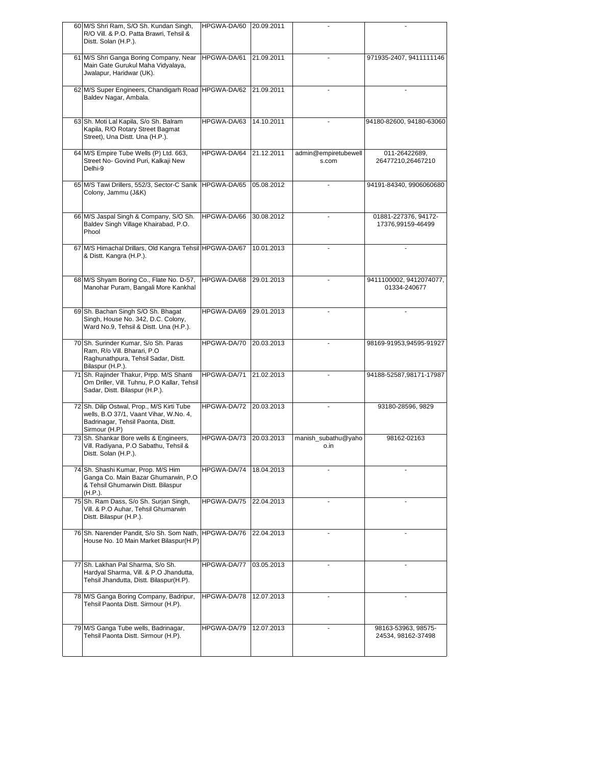| 60 M/S Shri Ram, S/O Sh. Kundan Singh,<br>R/O Vill. & P.O. Patta Brawri, Tehsil &<br>Distt. Solan (H.P.).                      | HPGWA-DA/60 | 20.09.2011 |                               |                                           |
|--------------------------------------------------------------------------------------------------------------------------------|-------------|------------|-------------------------------|-------------------------------------------|
| 61 M/S Shri Ganga Boring Company, Near<br>Main Gate Gurukul Maha Vidyalaya,<br>Jwalapur, Haridwar (UK).                        | HPGWA-DA/61 | 21.09.2011 |                               | 971935-2407, 9411111146                   |
| 62 M/S Super Engineers, Chandigarh Road HPGWA-DA/62<br>Baldev Nagar, Ambala.                                                   |             | 21.09.2011 |                               |                                           |
| 63 Sh. Moti Lal Kapila, S/o Sh. Balram<br>Kapila, R/O Rotary Street Bagmat<br>Street), Una Distt. Una (H.P.).                  | HPGWA-DA/63 | 14.10.2011 |                               | 94180-82600, 94180-63060                  |
| 64 M/S Empire Tube Wells (P) Ltd. 663,<br>Street No- Govind Puri, Kalkaji New<br>Delhi-9                                       | HPGWA-DA/64 | 21.12.2011 | admin@empiretubewell<br>s.com | 011-26422689,<br>26477210,26467210        |
| 65 M/S Tawi Drillers, 552/3, Sector-C Sanik<br>Colony, Jammu (J&K)                                                             | HPGWA-DA/65 | 05.08.2012 |                               | 94191-84340, 9906060680                   |
| 66 M/S Jaspal Singh & Company, S/O Sh.<br>Baldev Singh Village Khairabad, P.O.<br>Phool                                        | HPGWA-DA/66 | 30.08.2012 |                               | 01881-227376, 94172-<br>17376,99159-46499 |
| 67 M/S Himachal Drillars, Old Kangra Tehsil HPGWA-DA/67<br>& Distt. Kangra (H.P.).                                             |             | 10.01.2013 |                               |                                           |
| 68 M/S Shyam Boring Co., Flate No. D-57,<br>Manohar Puram, Bangali More Kankhal                                                | HPGWA-DA/68 | 29.01.2013 |                               | 9411100002, 9412074077,<br>01334-240677   |
| 69 Sh. Bachan Singh S/O Sh. Bhagat<br>Singh, House No. 342, D.C. Colony,<br>Ward No.9, Tehsil & Distt. Una (H.P.).             | HPGWA-DA/69 | 29.01.2013 |                               |                                           |
| 70 Sh. Surinder Kumar, S/o Sh. Paras<br>Ram, R/o Vill. Bharari, P.O<br>Raghunathpura, Tehsil Sadar, Distt.<br>Bilaspur (H.P.). | HPGWA-DA/70 | 20.03.2013 |                               | 98169-91953,94595-91927                   |
| 71 Sh. Rajinder Thakur, Prpp. M/S Shanti<br>Om Driller, Vill. Tuhnu, P.O Kallar, Tehsil<br>Sadar, Distt. Bilaspur (H.P.).      | HPGWA-DA/71 | 21.02.2013 |                               | 94188-52587,98171-17987                   |
|                                                                                                                                |             |            |                               |                                           |
| 72 Sh. Dilip Ostwal, Prop., M/S Kirti Tube<br>wells, B.O 37/1, Vaant Vihar, W.No. 4,<br>Badrinagar, Tehsil Paonta, Distt.      | HPGWA-DA/72 | 20.03.2013 |                               | 93180-28596, 9829                         |
| Sirmour (H.P)<br>73 Sh. Shankar Bore wells & Engineers,<br>Vill. Radiyana, P.O Sabathu, Tehsil &<br>Distt. Solan (H.P.).       | HPGWA-DA/73 | 20.03.2013 | manish_subathu@yaho<br>o.in   | 98162-02163                               |
| 74 Sh. Shashi Kumar, Prop. M/S Him<br>Ganga Co. Main Bazar Ghumarwin, P.O.<br>& Tehsil Ghumarwin Distt. Bilaspur               | HPGWA-DA/74 | 18.04.2013 |                               |                                           |
| (H.P.).<br>75 Sh. Ram Dass, S/o Sh. Surjan Singh,<br>Vill. & P.O Auhar, Tehsil Ghumarwin<br>Distt. Bilaspur (H.P.).            | HPGWA-DA/75 | 22.04.2013 |                               |                                           |
| 76 Sh. Narender Pandit, S/o Sh. Som Nath,<br>House No. 10 Main Market Bilaspur(H.P)                                            | HPGWA-DA/76 | 22.04.2013 |                               |                                           |
| 77 Sh. Lakhan Pal Sharma, S/o Sh.<br>Hardyal Sharma, Vill. & P.O Jhandutta,<br>Tehsil Jhandutta, Distt. Bilaspur(H.P).         | HPGWA-DA/77 | 03.05.2013 |                               |                                           |
| 78 M/S Ganga Boring Company, Badripur,<br>Tehsil Paonta Distt. Sirmour (H.P).                                                  | HPGWA-DA/78 | 12.07.2013 |                               |                                           |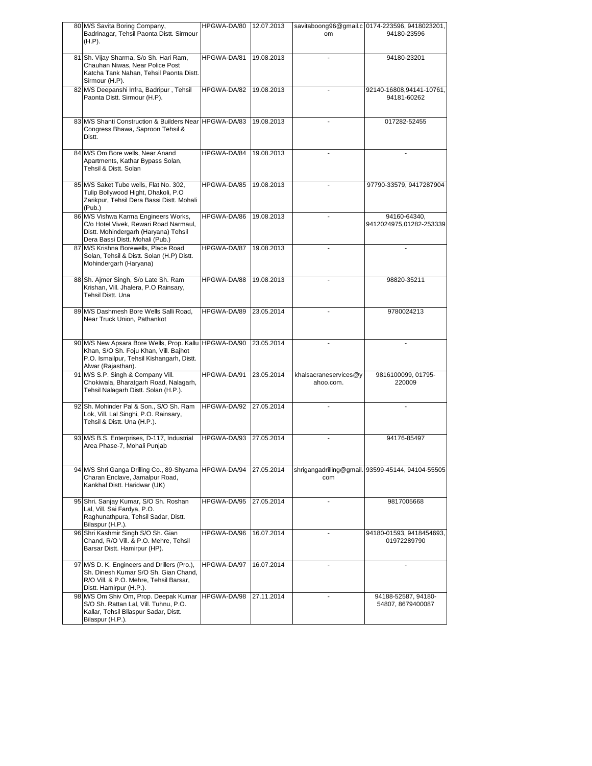| 80 M/S Savita Boring Company,<br>Badrinagar, Tehsil Paonta Distt. Sirmour<br>(H.P).                                                                               | HPGWA-DA/80 | 12.07.2013 | om                                 | savitaboong96@gmail.c 0174-223596, 9418023201,<br>94180-23596 |
|-------------------------------------------------------------------------------------------------------------------------------------------------------------------|-------------|------------|------------------------------------|---------------------------------------------------------------|
| 81 Sh. Vijay Sharma, S/o Sh. Hari Ram,                                                                                                                            | HPGWA-DA/81 | 19.08.2013 |                                    | 94180-23201                                                   |
| Chauhan Niwas, Near Police Post<br>Katcha Tank Nahan, Tehsil Paonta Distt.<br>Sirmour (H.P).                                                                      |             |            |                                    |                                                               |
| 82 M/S Deepanshi Infra, Badripur, Tehsil<br>Paonta Distt. Sirmour (H.P).                                                                                          | HPGWA-DA/82 | 19.08.2013 |                                    | 92140-16808,94141-10761,<br>94181-60262                       |
| 83 M/S Shanti Construction & Builders Near HPGWA-DA/83<br>Congress Bhawa, Saproon Tehsil &<br>Distt.                                                              |             | 19.08.2013 |                                    | 017282-52455                                                  |
| 84 M/S Om Bore wells, Near Anand<br>Apartments, Kathar Bypass Solan,<br>Tehsil & Distt. Solan                                                                     | HPGWA-DA/84 | 19.08.2013 |                                    |                                                               |
| 85 M/S Saket Tube wells, Flat No. 302,<br>Tulip Bollywood Hight, Dhakoli, P.O<br>Zarikpur, Tehsil Dera Bassi Distt. Mohali<br>(Pub.)                              | HPGWA-DA/85 | 19.08.2013 |                                    | 97790-33579, 9417287904                                       |
| 86 M/S Vishwa Karma Engineers Works,<br>C/o Hotel Vivek, Rewari Road Narmaul,<br>Distt. Mohindergarh (Haryana) Tehsil<br>Dera Bassi Distt. Mohali (Pub.)          | HPGWA-DA/86 | 19.08.2013 |                                    | 94160-64340,<br>9412024975,01282-253339                       |
| 87 M/S Krishna Borewells, Place Road<br>Solan, Tehsil & Distt. Solan (H.P) Distt.<br>Mohindergarh (Haryana)                                                       | HPGWA-DA/87 | 19.08.2013 |                                    |                                                               |
| 88 Sh. Ajmer Singh, S/o Late Sh. Ram<br>Krishan, Vill. Jhalera, P.O Rainsary,<br>Tehsil Distt, Una                                                                | HPGWA-DA/88 | 19.08.2013 |                                    | 98820-35211                                                   |
| 89 M/S Dashmesh Bore Wells Salli Road,<br>Near Truck Union, Pathankot                                                                                             | HPGWA-DA/89 | 23.05.2014 |                                    | 9780024213                                                    |
| 90 M/S New Apsara Bore Wells, Prop. Kallu HPGWA-DA/90<br>Khan, S/O Sh. Foju Khan, Vill. Bajhot<br>P.O. Ismailpur, Tehsil Kishangarh, Distt.<br>Alwar (Rajasthan). |             | 23.05.2014 |                                    |                                                               |
| 91 M/S S.P. Singh & Company Vill.<br>Chokiwala, Bharatgarh Road, Nalagarh,<br>Tehsil Nalagarh Distt. Solan (H.P.).                                                | HPGWA-DA/91 | 23.05.2014 | khalsacraneservices@y<br>ahoo.com. | 9816100099, 01795-<br>220009                                  |
| 92 Sh. Mohinder Pal & Son., S/O Sh. Ram<br>Lok, Vill. Lal Singhi, P.O. Rainsary,<br>Tehsil & Distt. Una (H.P.).                                                   | HPGWA-DA/92 | 27.05.2014 |                                    |                                                               |
| 93 M/S B.S. Enterprises, D-117, Industrial<br>Area Phase-7, Mohali Punjab                                                                                         | HPGWA-DA/93 | 27.05.2014 |                                    | 94176-85497                                                   |
| 94 M/S Shri Ganga Drilling Co., 89-Shyama HPGWA-DA/94<br>Charan Enclave, Jamalpur Road,<br>Kankhal Distt. Haridwar (UK)                                           |             | 27.05.2014 | com                                | shrigangadrilling@gmail. 93599-45144, 94104-55505             |
| 95 Shri. Sanjay Kumar, S/O Sh. Roshan<br>Lal, Vill. Sai Fardya, P.O.<br>Raghunathpura, Tehsil Sadar, Distt.<br>Bilaspur (H.P.).                                   | HPGWA-DA/95 | 27.05.2014 |                                    | 9817005668                                                    |
| 96 Shri Kashmir Singh S/O Sh. Gian<br>Chand, R/O Vill. & P.O. Mehre, Tehsil<br>Barsar Distt. Hamirpur (HP).                                                       | HPGWA-DA/96 | 16.07.2014 |                                    | 94180-01593, 9418454693,<br>01972289790                       |
| 97 M/S D. K. Engineers and Drillers (Pro.),<br>Sh. Dinesh Kumar S/O Sh. Gian Chand,<br>R/O Vill. & P.O. Mehre, Tehsil Barsar,<br>Distt. Hamirpur (H.P.).          | HPGWA-DA/97 | 16.07.2014 |                                    |                                                               |
| 98 M/S Om Shiv Om, Prop. Deepak Kumar<br>S/O Sh. Rattan Lal, Vill. Tuhnu, P.O.<br>Kallar, Tehsil Bilaspur Sadar, Distt.                                           | HPGWA-DA/98 | 27.11.2014 |                                    | 94188-52587, 94180-<br>54807, 8679400087                      |
| Bilaspur (H.P.).                                                                                                                                                  |             |            |                                    |                                                               |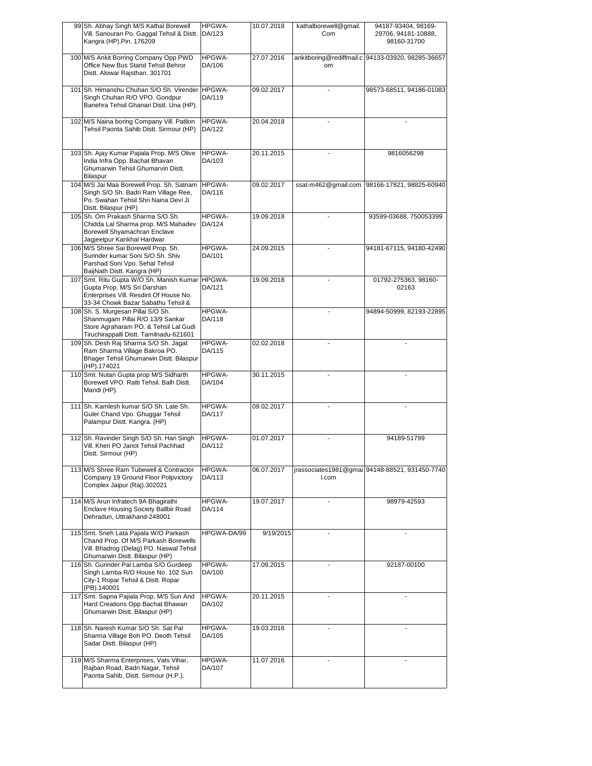| 99 Sh. Abhay Singh M/S Kathal Borewell<br>Vill. Sanouran Po. Gaggal Tehsil & Distt.<br>Kangra (HP). Pin. 176209                                             | HPGWA-<br>DA/123        | 10.07.2018 | kathalborewell@gmail.<br>Com | 94187-93404, 98169-<br>29706, 94181-10888,<br>98160-31700 |
|-------------------------------------------------------------------------------------------------------------------------------------------------------------|-------------------------|------------|------------------------------|-----------------------------------------------------------|
| 100 M/S Ankit Borring Company Opp PWD<br>Office New Bus Stand Tehsil Behror<br>Distt. Alowar Rajsthan. 301701                                               | HPGWA-<br>DA/106        | 27.07.2016 | om                           | ankitboring@rediffmail.c 94133-03920, 98285-36657         |
| 101 Sh. Himanshu Chuhan S/O Sh. Virender<br>Singh Chuhan R/O VPO. Gondpur<br>Banehra Tehsil Ghanari Distt. Una (HP).                                        | <b>HPGWA-</b><br>DA/119 | 09.02.2017 |                              | 98573-68511, 94186-01083                                  |
| 102 M/S Naina boring Company Vill. Patlion<br>Tehsil Paonta Sahib Distt. Sirmour (HP)                                                                       | HPGWA-<br>DA/122        | 20.04.2018 |                              |                                                           |
| 103 Sh. Ajay Kumar Pajiala Prop. M/S Olive<br>India Infra Opp. Bachat Bhavan<br>Ghumarwin Tehsil Ghumarvin Distt.<br>Bilaspur                               | HPGWA-<br>DA/103        | 20.11.2015 |                              | 9816056298                                                |
| 104 M/S Jai Maa Borewell Prop. Sh. Satnam<br>Singh S/O Sh. Badri Ram Village Ree,<br>Po. Swahan Tehsil Shri Naina Devi Ji<br>Distt. Bilaspur (HP)           | <b>HPGWA-</b><br>DA/116 | 09.02.2017 | ssat-m462@gmail.com          | 98166-17821, 98825-60940                                  |
| 105 Sh. Om Prakash Sharma S/O Sh.<br>Chidda Lal Sharma prop. M/S Mahadev<br>Borewell Shyamachran Enclave<br>Jagjeetpur Kankhal Hardwar                      | HPGWA-<br>DA/124        | 19.09.2018 |                              | 93599-03688, 750053399                                    |
| 106 M/S Shree Sai Borewell Prop. Sh.<br>Surinder kumar Soni S/O Sh. Shiv<br>Parshad Soni Vpo. Sehal Tehsil<br>BaijNath Distt. Kangra (HP)                   | HPGWA-<br>DA/101        | 24.09.2015 |                              | 94181-67115, 94180-42490                                  |
| 107 Smt. Ritu Gupta W/O Sh. Manish Kumar<br>Gupta Prop. M/S Sri Darshan<br>Enterprises Vill. Resdint Of House No.<br>33-34 Chowk Bazar Sabathu Tehsil &     | <b>HPGWA-</b><br>DA/121 | 19.09.2018 |                              | 01792-275363, 98160-<br>02163                             |
| 108 Sh. S. Murgesan Pillai S/O Sh.<br>Shanmugam Pillai R/O 13/9 Sankar<br>Store Agraharam PO. & Tehsil Lal Gudi<br>Tiruchirappalli Distt. Tamilnadu-621601  | HPGWA-<br>DA/118        |            |                              | 94894-50999, 82193-22895                                  |
| 109 Sh. Desh Raj Sharma S/O Sh. Jagat<br>Ram Sharma Village Bakroa PO.<br>Bhager Tehsil Ghumarwin Distt. Bilaspur<br>(HP).174021                            | HPGWA-<br>DA/115        | 02.02.2018 |                              |                                                           |
| 110 Smt. Nutan Gupta prop M/S Sidharth<br>Borewell VPO. Ratti Tehsil. Balh Distt.<br>Mandi (HP).                                                            | HPGWA-<br>DA/104        | 30.11.2015 |                              |                                                           |
| 111 Sh. Kamlesh kumar S/O Sh. Late Sh.<br>Guler Chand Vpo. Ghuggar Tehsil<br>Palampur Distt. Kangra. (HP)                                                   | HPGWA-<br>DA/117        | 09.02.2017 |                              |                                                           |
| 112 Sh. Ravinder Singh S/O Sh. Hari Singh<br>Vill. Kheri PO Janot Tehsil Pachhad<br>Distt. Sirmour (HP)                                                     | HPGWA-<br>DA/112        | 01.07.2017 |                              | 94189-51799                                               |
| 113 M/S Shree Ram Tubewell & Contractor<br>Company 19 Ground Floor Polpvictory<br>Complex Jaipur (Raj).302021                                               | HPGWA-<br>DA/113        | 06.07.2017 | I.com                        | jrassociates1981@gmai 94148-88521, 931450-7740            |
| 114 M/S Arun Infratech 9A Bhagirathi<br>Enclave Housing Society Ballbir Road<br>Dehradun, Uttrakhand-248001                                                 | HPGWA-<br>DA/114        | 19.07.2017 |                              | 98979-42593                                               |
| 115 Smt. Sneh Lata Pajiala W/O Parkash<br>Chand Prop. Of M/S Parkash Borewells<br>Vill. Bhadrog (Delag) PO. Naswal Tehsil<br>Ghumarwin Distt. Bilaspur (HP) | HPGWA-DA/99             | 9/19/2015  |                              |                                                           |
| 116 Sh. Gurinder Pal Lamba S/O Gurdeep<br>Singh Lamba R/O House No. 102 Sun<br>City-1 Ropar Tehsil & Distt. Ropar<br>(PB).140001                            | HPGWA-<br>DA/100        | 17.09.2015 |                              | 92187-00100                                               |
| 117 Smt. Sapna Pajiala Prop. M/S Sun And<br>Hard Creations Opp Bachat Bhawan<br>Ghumarwin Distt. Bilaspur (HP)                                              | HPGWA-<br>DA/102        | 20.11.2015 |                              |                                                           |
| 118 Sh. Naresh Kumar S/O Sh. Sat Pal<br>Sharma Village Boh PO. Deoth Tehsil<br>Sadar Distt. Bilaspur (HP)                                                   | <b>HPGWA-</b><br>DA/105 | 19.03.2016 |                              |                                                           |
| 119 M/S Sharma Enterprises, Vats Vihar,<br>Rajban Road, Badri Nagar, Tehsil<br>Paonta Sahib, Distt. Sirmour (H.P.).                                         | HPGWA-<br>DA/107        | 11.07.2016 |                              |                                                           |